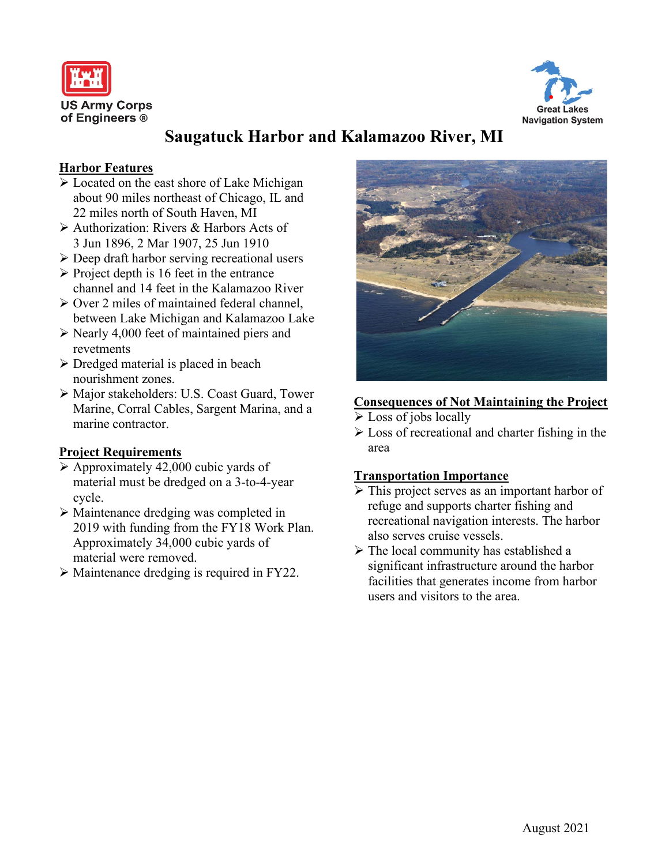



# **Saugatuck Harbor and Kalamazoo River, MI**

## **Harbor Features**

- Located on the east shore of Lake Michigan about 90 miles northeast of Chicago, IL and 22 miles north of South Haven, MI
- Authorization: Rivers & Harbors Acts of 3 Jun 1896, 2 Mar 1907, 25 Jun 1910
- Deep draft harbor serving recreational users
- $\triangleright$  Project depth is 16 feet in the entrance channel and 14 feet in the Kalamazoo River
- $\triangleright$  Over 2 miles of maintained federal channel. between Lake Michigan and Kalamazoo Lake
- $\triangleright$  Nearly 4,000 feet of maintained piers and revetments
- $\triangleright$  Dredged material is placed in beach nourishment zones.
- Major stakeholders: U.S. Coast Guard, Tower Marine, Corral Cables, Sargent Marina, and a marine contractor.

## **Project Requirements**

- $\triangleright$  Approximately 42,000 cubic yards of material must be dredged on a 3-to-4-year cycle.
- Maintenance dredging was completed in 2019 with funding from the FY18 Work Plan. Approximately 34,000 cubic yards of material were removed.
- Maintenance dredging is required in FY22.



## **Consequences of Not Maintaining the Project**

- $\triangleright$  Loss of jobs locally
- $\triangleright$  Loss of recreational and charter fishing in the area

## **Transportation Importance**

- > This project serves as an important harbor of refuge and supports charter fishing and recreational navigation interests. The harbor also serves cruise vessels.
- $\triangleright$  The local community has established a significant infrastructure around the harbor facilities that generates income from harbor users and visitors to the area.